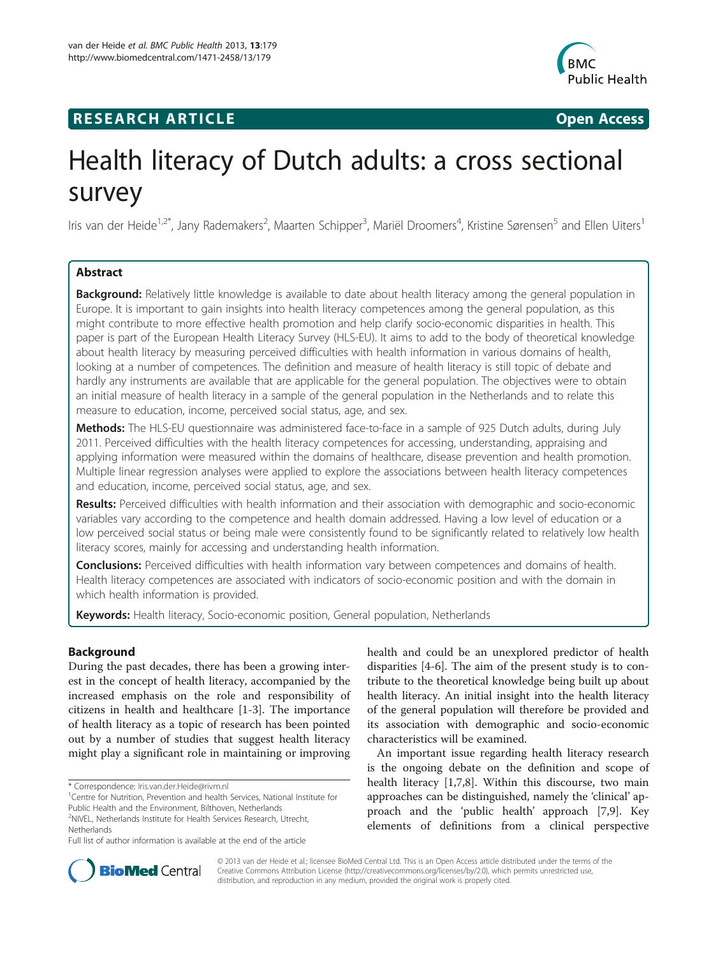## **RESEARCH ARTICLE Example 2018 12:00 Open Access**



# Health literacy of Dutch adults: a cross sectional survey

Iris van der Heide<sup>1,2\*</sup>, Jany Rademakers<sup>2</sup>, Maarten Schipper<sup>3</sup>, Mariël Droomers<sup>4</sup>, Kristine Sørensen<sup>5</sup> and Ellen Uiters<sup>1</sup>

## Abstract

Background: Relatively little knowledge is available to date about health literacy among the general population in Europe. It is important to gain insights into health literacy competences among the general population, as this might contribute to more effective health promotion and help clarify socio-economic disparities in health. This paper is part of the European Health Literacy Survey (HLS-EU). It aims to add to the body of theoretical knowledge about health literacy by measuring perceived difficulties with health information in various domains of health, looking at a number of competences. The definition and measure of health literacy is still topic of debate and hardly any instruments are available that are applicable for the general population. The objectives were to obtain an initial measure of health literacy in a sample of the general population in the Netherlands and to relate this measure to education, income, perceived social status, age, and sex.

Methods: The HLS-EU questionnaire was administered face-to-face in a sample of 925 Dutch adults, during July 2011. Perceived difficulties with the health literacy competences for accessing, understanding, appraising and applying information were measured within the domains of healthcare, disease prevention and health promotion. Multiple linear regression analyses were applied to explore the associations between health literacy competences and education, income, perceived social status, age, and sex.

Results: Perceived difficulties with health information and their association with demographic and socio-economic variables vary according to the competence and health domain addressed. Having a low level of education or a low perceived social status or being male were consistently found to be significantly related to relatively low health literacy scores, mainly for accessing and understanding health information.

**Conclusions:** Perceived difficulties with health information vary between competences and domains of health. Health literacy competences are associated with indicators of socio-economic position and with the domain in which health information is provided.

Keywords: Health literacy, Socio-economic position, General population, Netherlands

## Background

During the past decades, there has been a growing interest in the concept of health literacy, accompanied by the increased emphasis on the role and responsibility of citizens in health and healthcare [[1-3](#page-9-0)]. The importance of health literacy as a topic of research has been pointed out by a number of studies that suggest health literacy might play a significant role in maintaining or improving

health and could be an unexplored predictor of health disparities [[4](#page-9-0)-[6\]](#page-9-0). The aim of the present study is to contribute to the theoretical knowledge being built up about health literacy. An initial insight into the health literacy of the general population will therefore be provided and its association with demographic and socio-economic characteristics will be examined.

An important issue regarding health literacy research is the ongoing debate on the definition and scope of health literacy [[1,7,8\]](#page-9-0). Within this discourse, two main approaches can be distinguished, namely the 'clinical' approach and the 'public health' approach [[7,9\]](#page-9-0). Key elements of definitions from a clinical perspective



© 2013 van der Heide et al.; licensee BioMed Central Ltd. This is an Open Access article distributed under the terms of the Creative Commons Attribution License (<http://creativecommons.org/licenses/by/2.0>), which permits unrestricted use, distribution, and reproduction in any medium, provided the original work is properly cited.

<sup>\*</sup> Correspondence: [Iris.van.der.Heide@rivm.nl](mailto:Iris.van.der.Heide@rivm.nl) <sup>1</sup>

<sup>&</sup>lt;sup>1</sup> Centre for Nutrition, Prevention and health Services, National Institute for Public Health and the Environment, Bilthoven, Netherlands

<sup>&</sup>lt;sup>2</sup>NIVEL, Netherlands Institute for Health Services Research, Utrecht, Netherlands

Full list of author information is available at the end of the article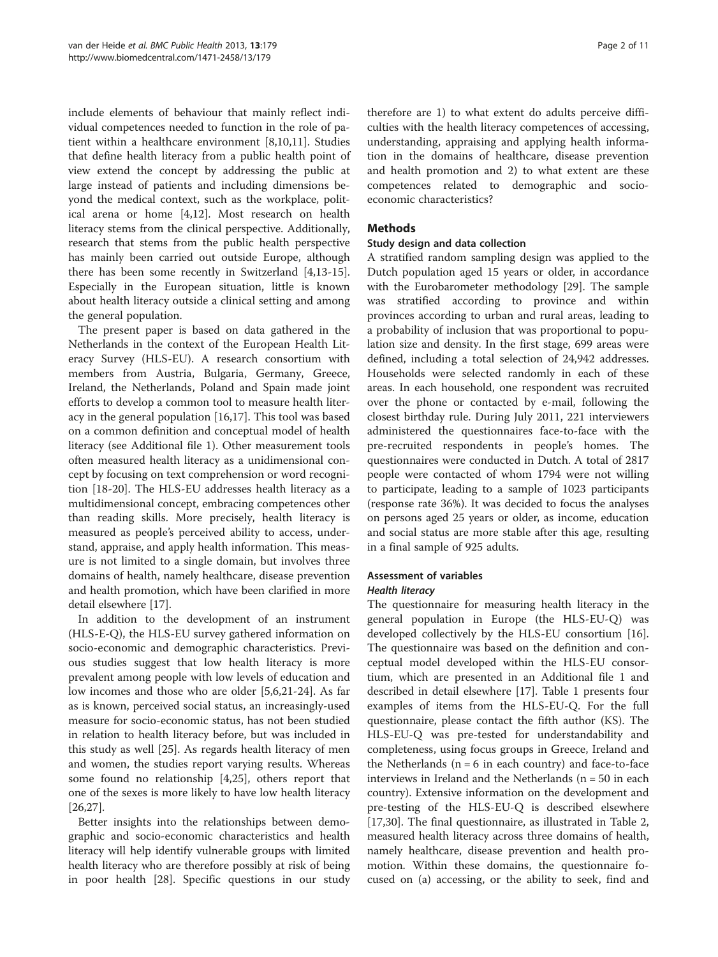include elements of behaviour that mainly reflect individual competences needed to function in the role of patient within a healthcare environment [[8,10,11\]](#page-9-0). Studies that define health literacy from a public health point of view extend the concept by addressing the public at large instead of patients and including dimensions beyond the medical context, such as the workplace, political arena or home [[4,12\]](#page-9-0). Most research on health literacy stems from the clinical perspective. Additionally, research that stems from the public health perspective has mainly been carried out outside Europe, although there has been some recently in Switzerland [[4,13-15](#page-9-0)]. Especially in the European situation, little is known about health literacy outside a clinical setting and among the general population.

The present paper is based on data gathered in the Netherlands in the context of the European Health Literacy Survey (HLS-EU). A research consortium with members from Austria, Bulgaria, Germany, Greece, Ireland, the Netherlands, Poland and Spain made joint efforts to develop a common tool to measure health literacy in the general population [[16,17\]](#page-9-0). This tool was based on a common definition and conceptual model of health literacy (see Additional file [1\)](#page-9-0). Other measurement tools often measured health literacy as a unidimensional concept by focusing on text comprehension or word recognition [[18-20\]](#page-9-0). The HLS-EU addresses health literacy as a multidimensional concept, embracing competences other than reading skills. More precisely, health literacy is measured as people's perceived ability to access, understand, appraise, and apply health information. This measure is not limited to a single domain, but involves three domains of health, namely healthcare, disease prevention and health promotion, which have been clarified in more detail elsewhere [\[17](#page-9-0)].

In addition to the development of an instrument (HLS-E-Q), the HLS-EU survey gathered information on socio-economic and demographic characteristics. Previous studies suggest that low health literacy is more prevalent among people with low levels of education and low incomes and those who are older [\[5,6,21](#page-9-0)-[24\]](#page-9-0). As far as is known, perceived social status, an increasingly-used measure for socio-economic status, has not been studied in relation to health literacy before, but was included in this study as well [\[25](#page-9-0)]. As regards health literacy of men and women, the studies report varying results. Whereas some found no relationship [\[4](#page-9-0),[25](#page-9-0)], others report that one of the sexes is more likely to have low health literacy [[26,27\]](#page-9-0).

Better insights into the relationships between demographic and socio-economic characteristics and health literacy will help identify vulnerable groups with limited health literacy who are therefore possibly at risk of being in poor health [[28](#page-9-0)]. Specific questions in our study therefore are 1) to what extent do adults perceive difficulties with the health literacy competences of accessing, understanding, appraising and applying health information in the domains of healthcare, disease prevention and health promotion and 2) to what extent are these competences related to demographic and socioeconomic characteristics?

## **Methods**

## Study design and data collection

A stratified random sampling design was applied to the Dutch population aged 15 years or older, in accordance with the Eurobarometer methodology [\[29](#page-9-0)]. The sample was stratified according to province and within provinces according to urban and rural areas, leading to a probability of inclusion that was proportional to population size and density. In the first stage, 699 areas were defined, including a total selection of 24,942 addresses. Households were selected randomly in each of these areas. In each household, one respondent was recruited over the phone or contacted by e-mail, following the closest birthday rule. During July 2011, 221 interviewers administered the questionnaires face-to-face with the pre-recruited respondents in people's homes. The questionnaires were conducted in Dutch. A total of 2817 people were contacted of whom 1794 were not willing to participate, leading to a sample of 1023 participants (response rate 36%). It was decided to focus the analyses on persons aged 25 years or older, as income, education and social status are more stable after this age, resulting in a final sample of 925 adults.

## Assessment of variables Health literacy

The questionnaire for measuring health literacy in the general population in Europe (the HLS-EU-Q) was developed collectively by the HLS-EU consortium [\[16](#page-9-0)]. The questionnaire was based on the definition and conceptual model developed within the HLS-EU consortium, which are presented in an Additional file [1](#page-9-0) and described in detail elsewhere [\[17\]](#page-9-0). Table [1](#page-2-0) presents four examples of items from the HLS-EU-Q. For the full questionnaire, please contact the fifth author (KS). The HLS-EU-Q was pre-tested for understandability and completeness, using focus groups in Greece, Ireland and the Netherlands ( $n = 6$  in each country) and face-to-face interviews in Ireland and the Netherlands ( $n = 50$  in each country). Extensive information on the development and pre-testing of the HLS-EU-Q is described elsewhere [[17,30\]](#page-9-0). The final questionnaire, as illustrated in Table [2](#page-2-0), measured health literacy across three domains of health, namely healthcare, disease prevention and health promotion. Within these domains, the questionnaire focused on (a) accessing, or the ability to seek, find and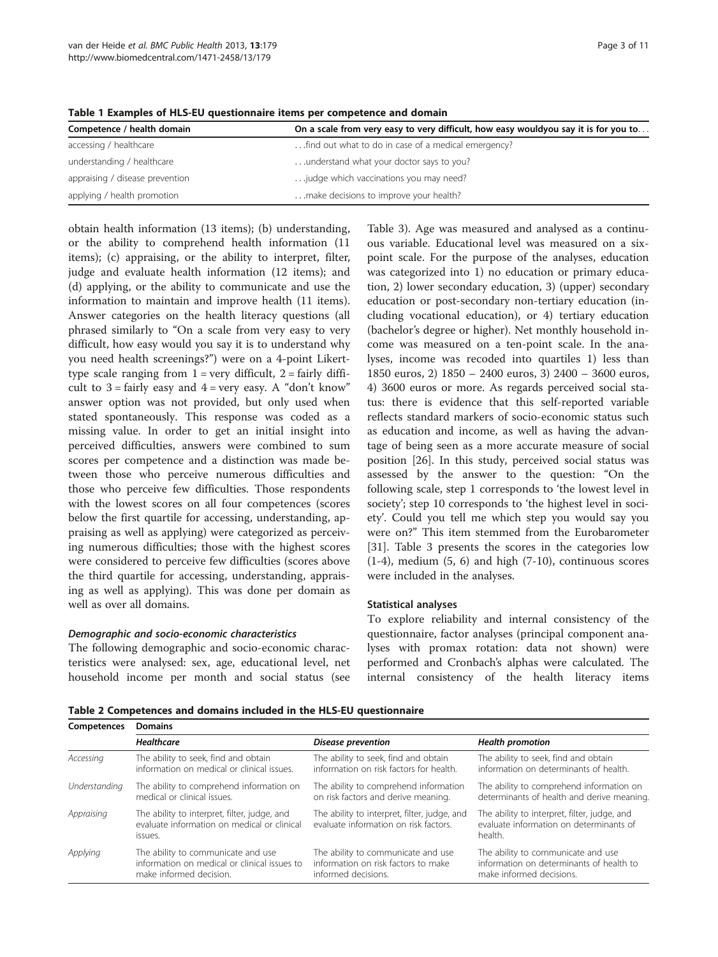| Competence / health domain      | On a scale from very easy to very difficult, how easy wouldyou say it is for you to |
|---------------------------------|-------------------------------------------------------------------------------------|
| accessing / healthcare          | find out what to do in case of a medical emergency?                                 |
| understanding / healthcare      | understand what your doctor says to you?                                            |
| appraising / disease prevention | judge which vaccinations you may need?                                              |
| applying / health promotion     | make decisions to improve your health?                                              |

<span id="page-2-0"></span>Table 1 Examples of HLS-EU questionnaire items per competence and domain

obtain health information (13 items); (b) understanding, or the ability to comprehend health information (11 items); (c) appraising, or the ability to interpret, filter, judge and evaluate health information (12 items); and (d) applying, or the ability to communicate and use the information to maintain and improve health (11 items). Answer categories on the health literacy questions (all phrased similarly to "On a scale from very easy to very difficult, how easy would you say it is to understand why you need health screenings?") were on a 4-point Likerttype scale ranging from  $1 = \text{very difficult}, 2 = \text{fairly difficult}$ cult to  $3 = \text{fairly easy}$  and  $4 = \text{very easy}$ . A "don't know" answer option was not provided, but only used when stated spontaneously. This response was coded as a missing value. In order to get an initial insight into perceived difficulties, answers were combined to sum scores per competence and a distinction was made between those who perceive numerous difficulties and those who perceive few difficulties. Those respondents with the lowest scores on all four competences (scores below the first quartile for accessing, understanding, appraising as well as applying) were categorized as perceiving numerous difficulties; those with the highest scores were considered to perceive few difficulties (scores above the third quartile for accessing, understanding, appraising as well as applying). This was done per domain as well as over all domains.

#### Demographic and socio-economic characteristics

The following demographic and socio-economic characteristics were analysed: sex, age, educational level, net household income per month and social status (see

Table [3](#page-3-0)). Age was measured and analysed as a continuous variable. Educational level was measured on a sixpoint scale. For the purpose of the analyses, education was categorized into 1) no education or primary education, 2) lower secondary education, 3) (upper) secondary education or post-secondary non-tertiary education (including vocational education), or 4) tertiary education (bachelor's degree or higher). Net monthly household income was measured on a ten-point scale. In the analyses, income was recoded into quartiles 1) less than 1850 euros, 2) 1850 – 2400 euros, 3) 2400 – 3600 euros, 4) 3600 euros or more. As regards perceived social status: there is evidence that this self-reported variable reflects standard markers of socio-economic status such as education and income, as well as having the advantage of being seen as a more accurate measure of social position [\[26\]](#page-9-0). In this study, perceived social status was assessed by the answer to the question: "On the following scale, step 1 corresponds to 'the lowest level in society'; step 10 corresponds to 'the highest level in society'. Could you tell me which step you would say you were on?" This item stemmed from the Eurobarometer [[31\]](#page-9-0). Table [3](#page-3-0) presents the scores in the categories low (1-4), medium (5, 6) and high (7-10), continuous scores were included in the analyses.

#### Statistical analyses

To explore reliability and internal consistency of the questionnaire, factor analyses (principal component analyses with promax rotation: data not shown) were performed and Cronbach's alphas were calculated. The internal consistency of the health literacy items

Table 2 Competences and domains included in the HLS-EU questionnaire

| Competences   | <b>Domains</b>                                                                                         |                                                                                       |                                                                                                    |  |  |  |  |  |  |
|---------------|--------------------------------------------------------------------------------------------------------|---------------------------------------------------------------------------------------|----------------------------------------------------------------------------------------------------|--|--|--|--|--|--|
|               | Healthcare                                                                                             | Disease prevention                                                                    | <b>Health promotion</b>                                                                            |  |  |  |  |  |  |
| Accessing     | The ability to seek, find and obtain                                                                   | The ability to seek, find and obtain                                                  | The ability to seek, find and obtain                                                               |  |  |  |  |  |  |
|               | information on medical or clinical issues.                                                             | information on risk factors for health.                                               | information on determinants of health.                                                             |  |  |  |  |  |  |
| Understanding | The ability to comprehend information on                                                               | The ability to comprehend information                                                 | The ability to comprehend information on                                                           |  |  |  |  |  |  |
|               | medical or clinical issues.                                                                            | on risk factors and derive meaning.                                                   | determinants of health and derive meaning.                                                         |  |  |  |  |  |  |
| Appraising    | The ability to interpret, filter, judge, and<br>evaluate information on medical or clinical<br>issues. | The ability to interpret, filter, judge, and<br>evaluate information on risk factors. | The ability to interpret, filter, judge, and<br>evaluate information on determinants of<br>health. |  |  |  |  |  |  |
| Applying      | The ability to communicate and use                                                                     | The ability to communicate and use                                                    | The ability to communicate and use                                                                 |  |  |  |  |  |  |
|               | information on medical or clinical issues to                                                           | information on risk factors to make                                                   | information on determinants of health to                                                           |  |  |  |  |  |  |
|               | make informed decision.                                                                                | informed decisions.                                                                   | make informed decisions.                                                                           |  |  |  |  |  |  |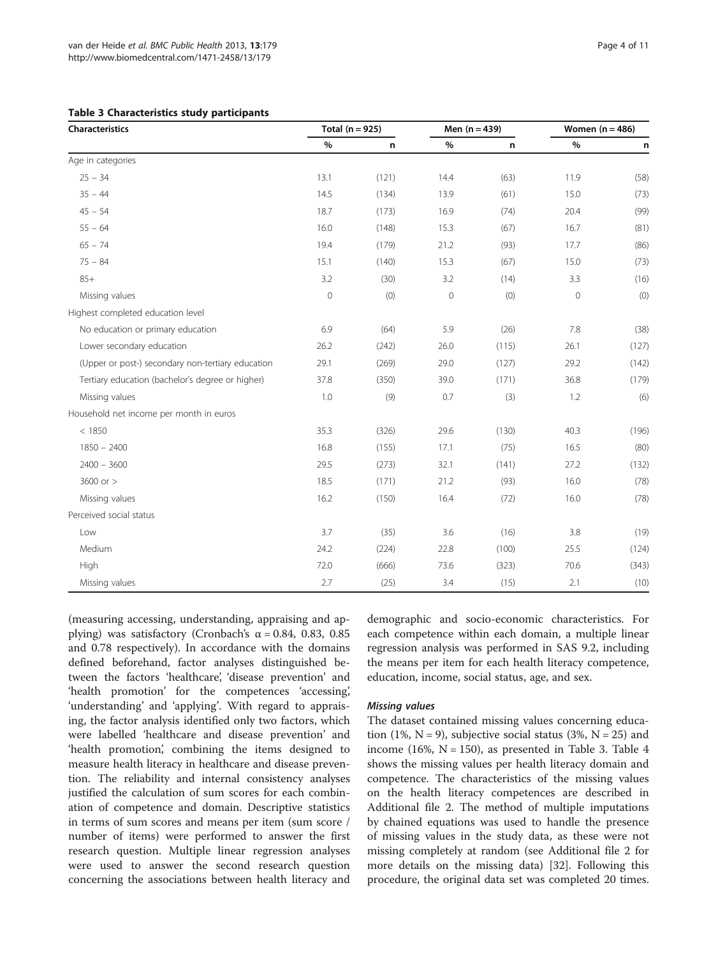### <span id="page-3-0"></span>Table 3 Characteristics study participants

| Characteristics                                   | Total ( $n = 925$ ) |       | Men $(n = 439)$ |       | Women $(n = 486)$ |       |
|---------------------------------------------------|---------------------|-------|-----------------|-------|-------------------|-------|
|                                                   | $\%$                | n     | $\%$            | n     | $\%$              | n     |
| Age in categories                                 |                     |       |                 |       |                   |       |
| $25 - 34$                                         | 13.1                | (121) | 14.4            | (63)  | 11.9              | (58)  |
| $35 - 44$                                         | 14.5                | (134) | 13.9            | (61)  | 15.0              | (73)  |
| $45 - 54$                                         | 18.7                | (173) | 16.9            | (74)  | 20.4              | (99)  |
| $55 - 64$                                         | 16.0                | (148) | 15.3            | (67)  | 16.7              | (81)  |
| $65 - 74$                                         | 19.4                | (179) | 21.2            | (93)  | 17.7              | (86)  |
| $75 - 84$                                         | 15.1                | (140) | 15.3            | (67)  | 15.0              | (73)  |
| $85+$                                             | 3.2                 | (30)  | 3.2             | (14)  | 3.3               | (16)  |
| Missing values                                    | $\circ$             | (0)   | $\mathbb O$     | (0)   | $\mathbf 0$       | (0)   |
| Highest completed education level                 |                     |       |                 |       |                   |       |
| No education or primary education                 | 6.9                 | (64)  | 5.9             | (26)  | 7.8               | (38)  |
| Lower secondary education                         | 26.2                | (242) | 26.0            | (115) | 26.1              | (127) |
| (Upper or post-) secondary non-tertiary education | 29.1                | (269) | 29.0            | (127) | 29.2              | (142) |
| Tertiary education (bachelor's degree or higher)  | 37.8                | (350) | 39.0            | (171) | 36.8              | (179) |
| Missing values                                    | 1.0                 | (9)   | 0.7             | (3)   | 1.2               | (6)   |
| Household net income per month in euros           |                     |       |                 |       |                   |       |
| < 1850                                            | 35.3                | (326) | 29.6            | (130) | 40.3              | (196) |
| $1850 - 2400$                                     | 16.8                | (155) | 17.1            | (75)  | 16.5              | (80)  |
| $2400 - 3600$                                     | 29.5                | (273) | 32.1            | (141) | 27.2              | (132) |
| 3600 or $>$                                       | 18.5                | (171) | 21.2            | (93)  | 16.0              | (78)  |
| Missing values                                    | 16.2                | (150) | 16.4            | (72)  | 16.0              | (78)  |
| Perceived social status                           |                     |       |                 |       |                   |       |
| Low                                               | 3.7                 | (35)  | 3.6             | (16)  | 3.8               | (19)  |
| Medium                                            | 24.2                | (224) | 22.8            | (100) | 25.5              | (124) |
| High                                              | 72.0                | (666) | 73.6            | (323) | 70.6              | (343) |
| Missing values                                    | 2.7                 | (25)  | 3.4             | (15)  | 2.1               | (10)  |

(measuring accessing, understanding, appraising and applying) was satisfactory (Cronbach's α = 0.84, 0.83, 0.85 and 0.78 respectively). In accordance with the domains defined beforehand, factor analyses distinguished between the factors 'healthcare', 'disease prevention' and 'health promotion' for the competences 'accessing', 'understanding' and 'applying'. With regard to appraising, the factor analysis identified only two factors, which were labelled 'healthcare and disease prevention' and 'health promotion', combining the items designed to measure health literacy in healthcare and disease prevention. The reliability and internal consistency analyses justified the calculation of sum scores for each combination of competence and domain. Descriptive statistics in terms of sum scores and means per item (sum score / number of items) were performed to answer the first research question. Multiple linear regression analyses were used to answer the second research question concerning the associations between health literacy and demographic and socio-economic characteristics. For each competence within each domain, a multiple linear regression analysis was performed in SAS 9.2, including the means per item for each health literacy competence, education, income, social status, age, and sex.

#### Missing values

The dataset contained missing values concerning education (1%,  $N = 9$ ), subjective social status (3%,  $N = 25$ ) and income (16%,  $N = 150$ ), as presented in Table 3. Table [4](#page-4-0) shows the missing values per health literacy domain and competence. The characteristics of the missing values on the health literacy competences are described in Additional file [2.](#page-9-0) The method of multiple imputations by chained equations was used to handle the presence of missing values in the study data, as these were not missing completely at random (see Additional file [2](#page-9-0) for more details on the missing data) [[32\]](#page-9-0). Following this procedure, the original data set was completed 20 times.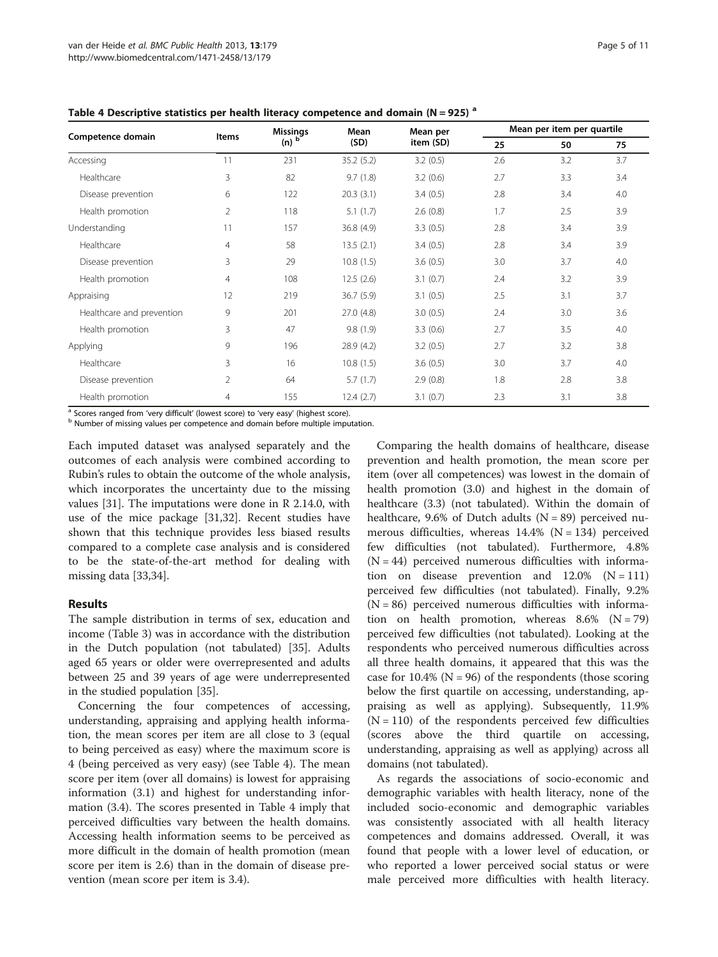|                           |                | <b>Missings</b>    | Mean       | Mean per  | Mean per item per quartile |     |     |  |
|---------------------------|----------------|--------------------|------------|-----------|----------------------------|-----|-----|--|
| Competence domain         | Items          | $(n)$ <sub>b</sub> | (SD)       | item (SD) | 25                         | 50  | 75  |  |
| Accessing                 | 11             | 231                | 35.2(5.2)  | 3.2(0.5)  | 2.6                        | 3.2 | 3.7 |  |
| Healthcare                | 3              | 82                 | 9.7(1.8)   | 3.2(0.6)  | 2.7                        | 3.3 | 3.4 |  |
| Disease prevention        | 6              | 122                | 20.3(3.1)  | 3.4(0.5)  | 2.8                        | 3.4 | 4.0 |  |
| Health promotion          | $\overline{2}$ | 118                | 5.1(1.7)   | 2.6(0.8)  | 1.7                        | 2.5 | 3.9 |  |
| Understanding             | 11             | 157                | 36.8(4.9)  | 3.3(0.5)  | 2.8                        | 3.4 | 3.9 |  |
| Healthcare                | 4              | 58                 | 13.5(2.1)  | 3.4(0.5)  | 2.8                        | 3.4 | 3.9 |  |
| Disease prevention        | 3              | 29                 | 10.8(1.5)  | 3.6(0.5)  | 3.0                        | 3.7 | 4.0 |  |
| Health promotion          | $\overline{4}$ | 108                | 12.5(2.6)  | 3.1(0.7)  | 2.4                        | 3.2 | 3.9 |  |
| Appraising                | 12             | 219                | 36.7(5.9)  | 3.1(0.5)  | 2.5                        | 3.1 | 3.7 |  |
| Healthcare and prevention | 9              | 201                | 27.0(4.8)  | 3.0(0.5)  | 2.4                        | 3.0 | 3.6 |  |
| Health promotion          | 3              | 47                 | 9.8(1.9)   | 3.3(0.6)  | 2.7                        | 3.5 | 4.0 |  |
| Applying                  | 9              | 196                | 28.9 (4.2) | 3.2(0.5)  | 2.7                        | 3.2 | 3.8 |  |
| Healthcare                | 3              | 16                 | 10.8(1.5)  | 3.6(0.5)  | 3.0                        | 3.7 | 4.0 |  |
| Disease prevention        | $\overline{2}$ | 64                 | 5.7(1.7)   | 2.9(0.8)  | 1.8                        | 2.8 | 3.8 |  |
| Health promotion          | $\overline{4}$ | 155                | 12.4(2.7)  | 3.1(0.7)  | 2.3                        | 3.1 | 3.8 |  |

<span id="page-4-0"></span>Table 4 Descriptive statistics per health literacy competence and domain ( $N = 925$ ) and

 $\frac{a}{b}$  Scores ranged from 'very difficult' (lowest score) to 'very easy' (highest score).<br><sup>b</sup> Number of missing values per competence and domain before multiple imputation.

Each imputed dataset was analysed separately and the outcomes of each analysis were combined according to Rubin's rules to obtain the outcome of the whole analysis, which incorporates the uncertainty due to the missing values [[31\]](#page-9-0). The imputations were done in R 2.14.0, with use of the mice package [[31,32\]](#page-9-0). Recent studies have shown that this technique provides less biased results compared to a complete case analysis and is considered to be the state-of-the-art method for dealing with missing data [\[33,34](#page-10-0)].

### Results

The sample distribution in terms of sex, education and income (Table [3\)](#page-3-0) was in accordance with the distribution in the Dutch population (not tabulated) [[35](#page-10-0)]. Adults aged 65 years or older were overrepresented and adults between 25 and 39 years of age were underrepresented in the studied population [\[35](#page-10-0)].

Concerning the four competences of accessing, understanding, appraising and applying health information, the mean scores per item are all close to 3 (equal to being perceived as easy) where the maximum score is 4 (being perceived as very easy) (see Table 4). The mean score per item (over all domains) is lowest for appraising information (3.1) and highest for understanding information (3.4). The scores presented in Table 4 imply that perceived difficulties vary between the health domains. Accessing health information seems to be perceived as more difficult in the domain of health promotion (mean score per item is 2.6) than in the domain of disease prevention (mean score per item is 3.4).

Comparing the health domains of healthcare, disease prevention and health promotion, the mean score per item (over all competences) was lowest in the domain of health promotion (3.0) and highest in the domain of healthcare (3.3) (not tabulated). Within the domain of healthcare, 9.6% of Dutch adults  $(N = 89)$  perceived numerous difficulties, whereas  $14.4\%$  (N = 134) perceived few difficulties (not tabulated). Furthermore, 4.8%  $(N = 44)$  perceived numerous difficulties with information on disease prevention and  $12.0\%$  (N = 111) perceived few difficulties (not tabulated). Finally, 9.2%  $(N = 86)$  perceived numerous difficulties with information on health promotion, whereas  $8.6\%$  (N = 79) perceived few difficulties (not tabulated). Looking at the respondents who perceived numerous difficulties across all three health domains, it appeared that this was the case for  $10.4\%$  (N = 96) of the respondents (those scoring below the first quartile on accessing, understanding, appraising as well as applying). Subsequently, 11.9%  $(N = 110)$  of the respondents perceived few difficulties (scores above the third quartile on accessing, understanding, appraising as well as applying) across all domains (not tabulated).

As regards the associations of socio-economic and demographic variables with health literacy, none of the included socio-economic and demographic variables was consistently associated with all health literacy competences and domains addressed. Overall, it was found that people with a lower level of education, or who reported a lower perceived social status or were male perceived more difficulties with health literacy.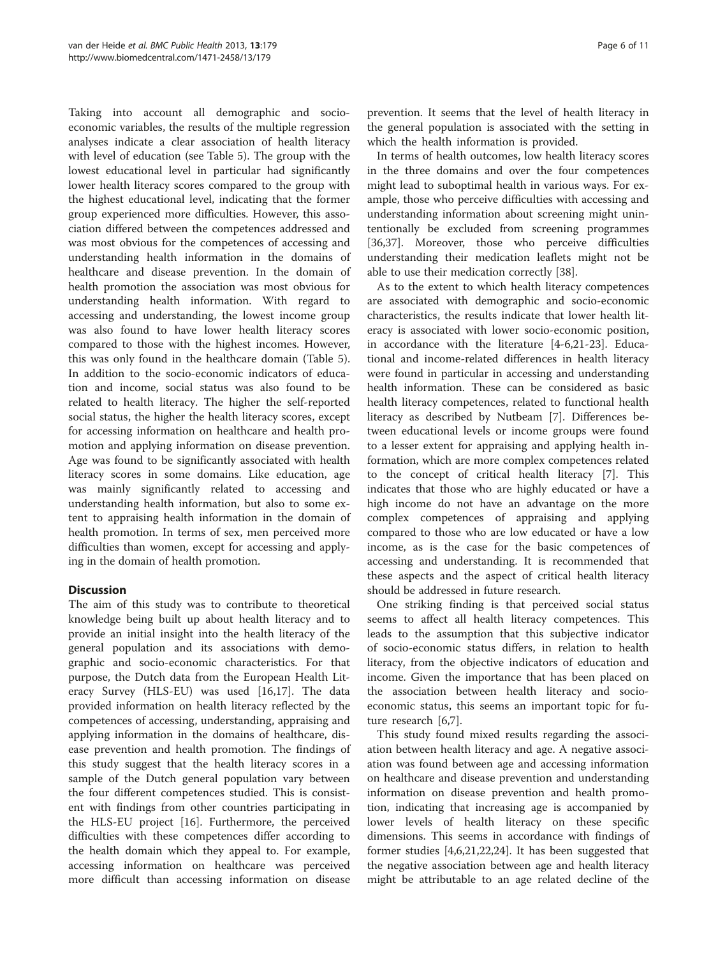Taking into account all demographic and socioeconomic variables, the results of the multiple regression analyses indicate a clear association of health literacy with level of education (see Table [5\)](#page-6-0). The group with the lowest educational level in particular had significantly lower health literacy scores compared to the group with the highest educational level, indicating that the former group experienced more difficulties. However, this association differed between the competences addressed and was most obvious for the competences of accessing and understanding health information in the domains of healthcare and disease prevention. In the domain of health promotion the association was most obvious for understanding health information. With regard to accessing and understanding, the lowest income group was also found to have lower health literacy scores compared to those with the highest incomes. However, this was only found in the healthcare domain (Table [5](#page-6-0)). In addition to the socio-economic indicators of education and income, social status was also found to be related to health literacy. The higher the self-reported social status, the higher the health literacy scores, except for accessing information on healthcare and health promotion and applying information on disease prevention. Age was found to be significantly associated with health literacy scores in some domains. Like education, age was mainly significantly related to accessing and understanding health information, but also to some extent to appraising health information in the domain of health promotion. In terms of sex, men perceived more difficulties than women, except for accessing and applying in the domain of health promotion.

## **Discussion**

The aim of this study was to contribute to theoretical knowledge being built up about health literacy and to provide an initial insight into the health literacy of the general population and its associations with demographic and socio-economic characteristics. For that purpose, the Dutch data from the European Health Literacy Survey (HLS-EU) was used [[16,17\]](#page-9-0). The data provided information on health literacy reflected by the competences of accessing, understanding, appraising and applying information in the domains of healthcare, disease prevention and health promotion. The findings of this study suggest that the health literacy scores in a sample of the Dutch general population vary between the four different competences studied. This is consistent with findings from other countries participating in the HLS-EU project [[16\]](#page-9-0). Furthermore, the perceived difficulties with these competences differ according to the health domain which they appeal to. For example, accessing information on healthcare was perceived more difficult than accessing information on disease

prevention. It seems that the level of health literacy in the general population is associated with the setting in which the health information is provided.

In terms of health outcomes, low health literacy scores in the three domains and over the four competences might lead to suboptimal health in various ways. For example, those who perceive difficulties with accessing and understanding information about screening might unintentionally be excluded from screening programmes [[36,37\]](#page-10-0). Moreover, those who perceive difficulties understanding their medication leaflets might not be able to use their medication correctly [\[38](#page-10-0)].

As to the extent to which health literacy competences are associated with demographic and socio-economic characteristics, the results indicate that lower health literacy is associated with lower socio-economic position, in accordance with the literature [\[4-6](#page-9-0),[21](#page-9-0)-[23\]](#page-9-0). Educational and income-related differences in health literacy were found in particular in accessing and understanding health information. These can be considered as basic health literacy competences, related to functional health literacy as described by Nutbeam [[7\]](#page-9-0). Differences between educational levels or income groups were found to a lesser extent for appraising and applying health information, which are more complex competences related to the concept of critical health literacy [[7\]](#page-9-0). This indicates that those who are highly educated or have a high income do not have an advantage on the more complex competences of appraising and applying compared to those who are low educated or have a low income, as is the case for the basic competences of accessing and understanding. It is recommended that these aspects and the aspect of critical health literacy should be addressed in future research.

One striking finding is that perceived social status seems to affect all health literacy competences. This leads to the assumption that this subjective indicator of socio-economic status differs, in relation to health literacy, from the objective indicators of education and income. Given the importance that has been placed on the association between health literacy and socioeconomic status, this seems an important topic for future research [\[6,7](#page-9-0)].

This study found mixed results regarding the association between health literacy and age. A negative association was found between age and accessing information on healthcare and disease prevention and understanding information on disease prevention and health promotion, indicating that increasing age is accompanied by lower levels of health literacy on these specific dimensions. This seems in accordance with findings of former studies [[4](#page-9-0),[6,21,22,24](#page-9-0)]. It has been suggested that the negative association between age and health literacy might be attributable to an age related decline of the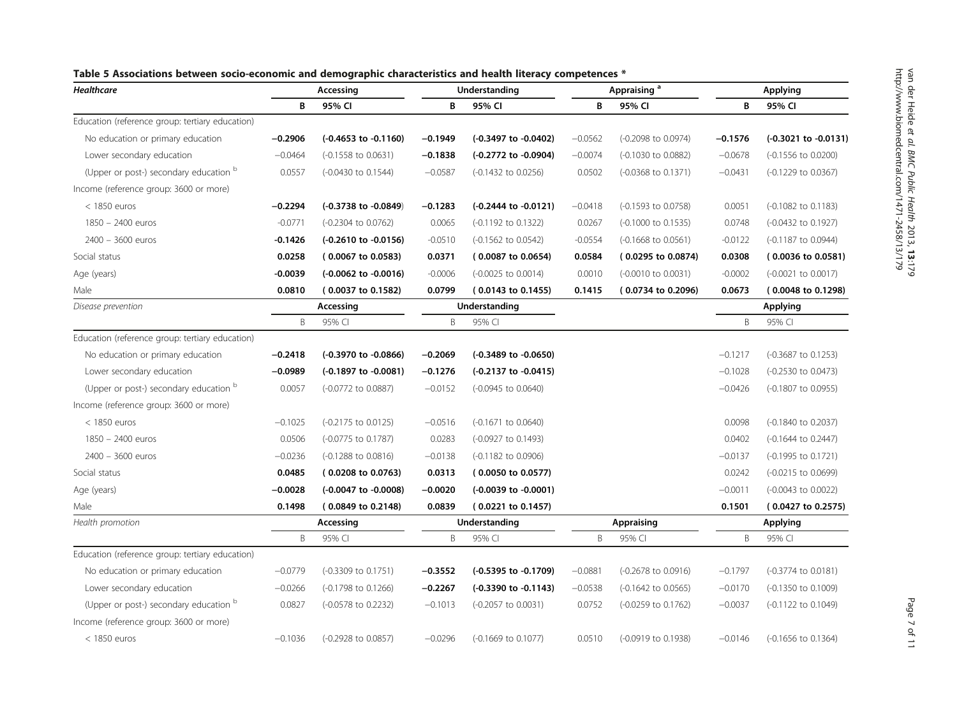| <b>Healthcare</b>                                 | Accessing |                                 | Understanding |                                 | Appraising <sup>a</sup> |                                | Applying  |                                |
|---------------------------------------------------|-----------|---------------------------------|---------------|---------------------------------|-------------------------|--------------------------------|-----------|--------------------------------|
|                                                   | В         | 95% CI                          | B             | 95% CI                          | В                       | 95% CI                         | В         | 95% CI                         |
| Education (reference group: tertiary education)   |           |                                 |               |                                 |                         |                                |           |                                |
| No education or primary education                 | $-0.2906$ | $(-0.4653$ to $-0.1160)$        | $-0.1949$     | $(-0.3497 \text{ to } -0.0402)$ | $-0.0562$               | (-0.2098 to 0.0974)            | $-0.1576$ | (-0.3021 to -0.0131)           |
| Lower secondary education                         | $-0.0464$ | $(-0.1558 \text{ to } 0.0631)$  | $-0.1838$     | (-0.2772 to -0.0904)            | $-0.0074$               | (-0.1030 to 0.0882)            | $-0.0678$ | (-0.1556 to 0.0200)            |
| (Upper or post-) secondary education b            | 0.0557    | (-0.0430 to 0.1544)             | $-0.0587$     | (-0.1432 to 0.0256)             | 0.0502                  | $(-0.0368 \text{ to } 0.1371)$ | $-0.0431$ | (-0.1229 to 0.0367)            |
| Income (reference group: 3600 or more)            |           |                                 |               |                                 |                         |                                |           |                                |
| $<$ 1850 euros                                    | $-0.2294$ | $(-0.3738$ to $-0.0849)$        | $-0.1283$     | $(-0.2444$ to $-0.0121)$        | $-0.0418$               | $(-0.1593 \text{ to } 0.0758)$ | 0.0051    | $(-0.1082 \text{ to } 0.1183)$ |
| 1850 - 2400 euros                                 | $-0.0771$ | (-0.2304 to 0.0762)             | 0.0065        | (-0.1192 to 0.1322)             | 0.0267                  | $(-0.1000 \text{ to } 0.1535)$ | 0.0748    | (-0.0432 to 0.1927)            |
| 2400 - 3600 euros                                 | $-0.1426$ | $(-0.2610 \text{ to } -0.0156)$ | $-0.0510$     | $(-0.1562 \text{ to } 0.0542)$  | $-0.0554$               | $(-0.1668 \text{ to } 0.0561)$ | $-0.0122$ | (-0.1187 to 0.0944)            |
| Social status                                     | 0.0258    | (0.0067 to 0.0583)              | 0.0371        | (0.0087 to 0.0654)              | 0.0584                  | $(0.0295$ to $0.0874)$         | 0.0308    | $(0.0036 \text{ to } 0.0581)$  |
| Age (years)                                       | $-0.0039$ | $(-0.0062 \text{ to } -0.0016)$ | $-0.0006$     | $(-0.0025$ to $0.0014)$         | 0.0010                  | $(-0.0010 \text{ to } 0.0031)$ | $-0.0002$ | $(-0.0021$ to $0.0017)$        |
| Male                                              | 0.0810    | $(0.0037 \text{ to } 0.1582)$   | 0.0799        | ( 0.0143 to 0.1455)             | 0.1415                  | $(0.0734 \text{ to } 0.2096)$  | 0.0673    | (0.0048 to 0.1298)             |
| Disease prevention                                |           | Accessing                       | Understanding |                                 |                         |                                |           | Applying                       |
|                                                   | B         | 95% CI                          | B             | 95% CI                          |                         |                                | B         | 95% CI                         |
| Education (reference group: tertiary education)   |           |                                 |               |                                 |                         |                                |           |                                |
| No education or primary education                 | $-0.2418$ | (-0.3970 to -0.0866)            | $-0.2069$     | $(-0.3489 \text{ to } -0.0650)$ |                         |                                | $-0.1217$ | $(-0.3687$ to $0.1253)$        |
| Lower secondary education                         | $-0.0989$ | (-0.1897 to -0.0081)            | $-0.1276$     | $(-0.2137$ to $-0.0415)$        |                         |                                | $-0.1028$ | (-0.2530 to 0.0473)            |
| (Upper or post-) secondary education b            | 0.0057    | (-0.0772 to 0.0887)             | $-0.0152$     | $(-0.0945 \text{ to } 0.0640)$  |                         |                                | $-0.0426$ | (-0.1807 to 0.0955)            |
| Income (reference group: 3600 or more)            |           |                                 |               |                                 |                         |                                |           |                                |
| $<$ 1850 euros                                    | $-0.1025$ | (-0.2175 to 0.0125)             | $-0.0516$     | $(-0.1671$ to $0.0640)$         |                         |                                | 0.0098    | (-0.1840 to 0.2037)            |
| 1850 - 2400 euros                                 | 0.0506    | (-0.0775 to 0.1787)             | 0.0283        | (-0.0927 to 0.1493)             |                         |                                | 0.0402    | (-0.1644 to 0.2447)            |
| 2400 - 3600 euros                                 | $-0.0236$ | $(-0.1288 \text{ to } 0.0816)$  | $-0.0138$     | (-0.1182 to 0.0906)             |                         |                                | $-0.0137$ | (-0.1995 to 0.1721)            |
| Social status                                     | 0.0485    | $(0.0208 \text{ to } 0.0763)$   | 0.0313        | $(0.0050 \text{ to } 0.0577)$   |                         |                                | 0.0242    | $(-0.0215 \text{ to } 0.0699)$ |
| Age (years)                                       | $-0.0028$ | (-0.0047 to -0.0008)            | $-0.0020$     | $(-0.0039 \text{ to } -0.0001)$ |                         |                                | $-0.0011$ | (-0.0043 to 0.0022)            |
| Male                                              | 0.1498    | (0.0849 to 0.2148)              | 0.0839        | (0.0221 to 0.1457)              |                         |                                | 0.1501    | (0.0427 to 0.2575)             |
| Health promotion                                  |           | Accessing                       | Understanding |                                 | Appraising              |                                |           | <b>Applying</b>                |
|                                                   | B         | 95% CI                          | B             | 95% CI                          | B                       | 95% CI                         | B         | 95% CI                         |
| Education (reference group: tertiary education)   |           |                                 |               |                                 |                         |                                |           |                                |
| No education or primary education                 | $-0.0779$ | (-0.3309 to 0.1751)             | $-0.3552$     | $(-0.5395$ to $-0.1709)$        | $-0.0881$               | $(-0.2678 \text{ to } 0.0916)$ | $-0.1797$ | $(-0.3774 \text{ to } 0.0181)$ |
| Lower secondary education                         | $-0.0266$ | (-0.1798 to 0.1266)             | $-0.2267$     | $(-0.3390 \text{ to } -0.1143)$ | $-0.0538$               | $(-0.1642 \text{ to } 0.0565)$ | $-0.0170$ | (-0.1350 to 0.1009)            |
| (Upper or post-) secondary education <sup>b</sup> | 0.0827    | (-0.0578 to 0.2232)             | $-0.1013$     | (-0.2057 to 0.0031)             | 0.0752                  | $(-0.0259 \text{ to } 0.1762)$ | $-0.0037$ | (-0.1122 to 0.1049)            |
| Income (reference group: 3600 or more)            |           |                                 |               |                                 |                         |                                |           |                                |
| $<$ 1850 euros                                    | $-0.1036$ | (-0.2928 to 0.0857)             | $-0.0296$     | $(-0.1669 \text{ to } 0.1077)$  | 0.0510                  | (-0.0919 to 0.1938)            | $-0.0146$ | $(-0.1656 \text{ to } 0.1364)$ |

<span id="page-6-0"></span>Table 5 Associations between socio-economic and demographic characteristics and health literacy competences \*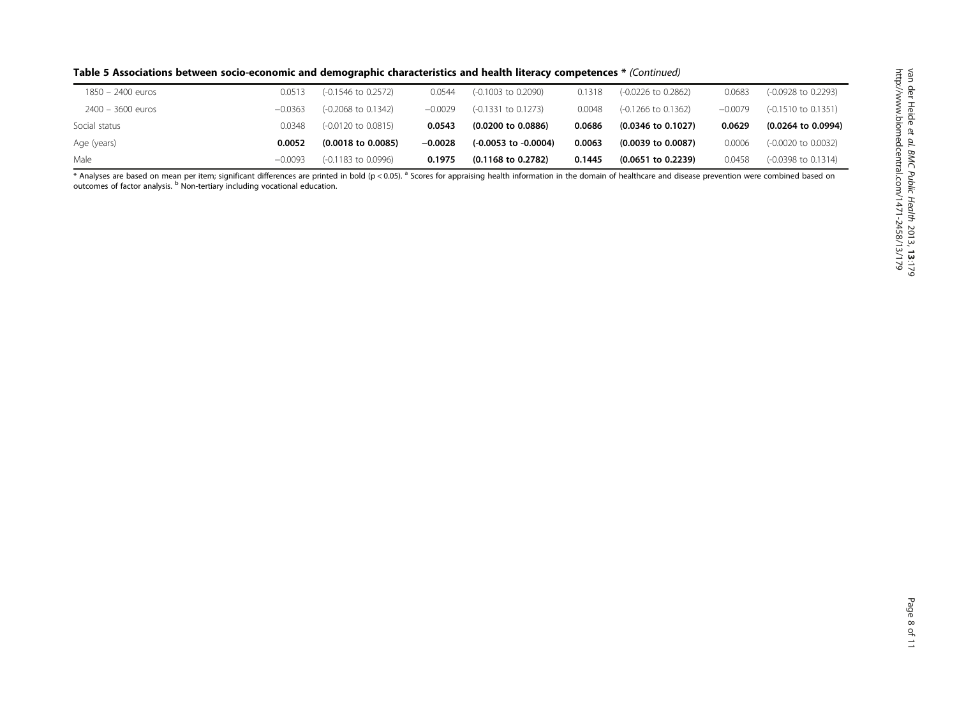Table 5 Associations between socio-economic and demographic characteristics and health literacy competences \* (Continued)

| 1850 - 2400 euros | 0.0513    | (-0.1546 to 0.2572)            | 0.0544    | (-0.1003 to 0.2090)           | 0.1318 | (-0.0226 to 0.2862)           | 0.0683    | (-0.0928 to 0.2293)            |
|-------------------|-----------|--------------------------------|-----------|-------------------------------|--------|-------------------------------|-----------|--------------------------------|
| 2400 - 3600 euros | $-0.0363$ | $(-0.2068 \text{ to } 0.1342)$ | $-0.0029$ | (-0.1331 to 0.1273)           | 0.0048 | (-0.1266 to 0.1362)           | $-0.0079$ | $(-0.1510 \text{ to } 0.1351)$ |
| Social status     | 0.0348    | $(-0.0120 \text{ to } 0.0815)$ | 0.0543    | $(0.0200 \text{ to } 0.0886)$ | 0.0686 | $(0.0346 \text{ to } 0.1027)$ | 0.0629    | (0.0264 to 0.0994)             |
| Age (years)       | 0.0052    | $(0.0018 \text{ to } 0.0085)$  | $-0.0028$ | $(-0.0053$ to $-0.0004)$      | 0.0063 | $(0.0039 \text{ to } 0.0087)$ | 0.0006    | (-0.0020 to 0.0032)            |
| Male              | $-0.0093$ | (-0.1183 to 0.0996)            | 0.1975    | $(0.1168 \text{ to } 0.2782)$ | 0.1445 | $(0.0651$ to $0.2239)$        | 0.0458    | (-0.0398 to 0.1314)            |

 $\overline{a}$  Analyses are based on mean per item; significant differences are printed in bold (p < 0.05). <sup>a</sup> Scores for appraising health information in the domain of healthcare and disease prevention were combined based on outcomes of factor analysis. <sup>b</sup> Non-tertiary including vocational education.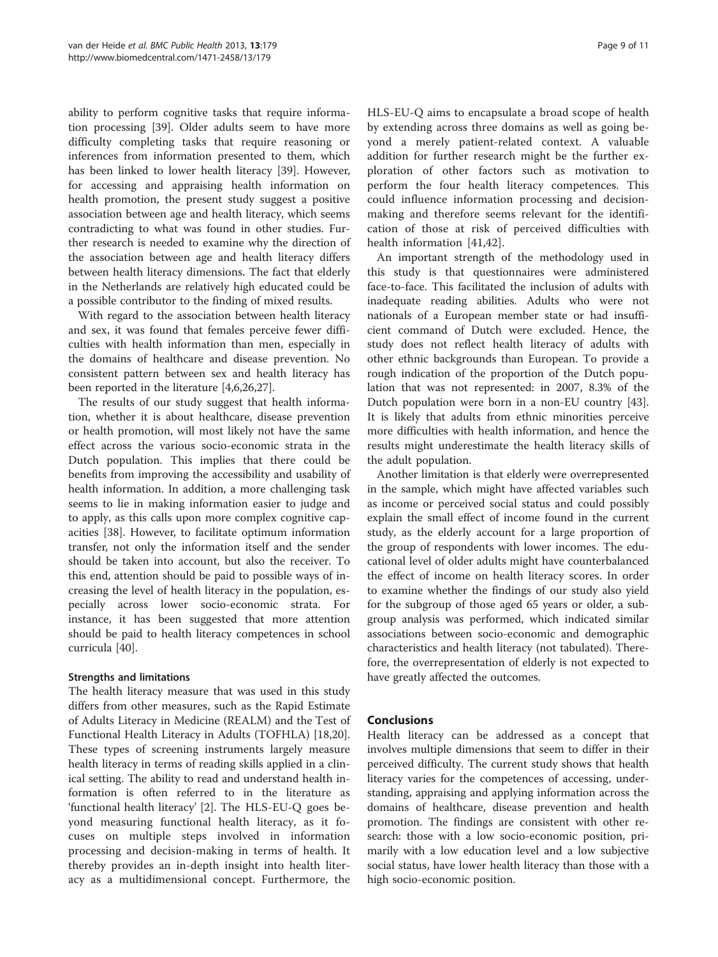ability to perform cognitive tasks that require information processing [[39\]](#page-10-0). Older adults seem to have more difficulty completing tasks that require reasoning or inferences from information presented to them, which has been linked to lower health literacy [\[39\]](#page-10-0). However, for accessing and appraising health information on health promotion, the present study suggest a positive association between age and health literacy, which seems contradicting to what was found in other studies. Further research is needed to examine why the direction of the association between age and health literacy differs between health literacy dimensions. The fact that elderly in the Netherlands are relatively high educated could be a possible contributor to the finding of mixed results.

With regard to the association between health literacy and sex, it was found that females perceive fewer difficulties with health information than men, especially in the domains of healthcare and disease prevention. No consistent pattern between sex and health literacy has been reported in the literature [[4,6,26,27\]](#page-9-0).

The results of our study suggest that health information, whether it is about healthcare, disease prevention or health promotion, will most likely not have the same effect across the various socio-economic strata in the Dutch population. This implies that there could be benefits from improving the accessibility and usability of health information. In addition, a more challenging task seems to lie in making information easier to judge and to apply, as this calls upon more complex cognitive capacities [[38\]](#page-10-0). However, to facilitate optimum information transfer, not only the information itself and the sender should be taken into account, but also the receiver. To this end, attention should be paid to possible ways of increasing the level of health literacy in the population, especially across lower socio-economic strata. For instance, it has been suggested that more attention should be paid to health literacy competences in school curricula [\[40\]](#page-10-0).

## Strengths and limitations

The health literacy measure that was used in this study differs from other measures, such as the Rapid Estimate of Adults Literacy in Medicine (REALM) and the Test of Functional Health Literacy in Adults (TOFHLA) [\[18,20](#page-9-0)]. These types of screening instruments largely measure health literacy in terms of reading skills applied in a clinical setting. The ability to read and understand health information is often referred to in the literature as 'functional health literacy' [\[2](#page-9-0)]. The HLS-EU-Q goes beyond measuring functional health literacy, as it focuses on multiple steps involved in information processing and decision-making in terms of health. It thereby provides an in-depth insight into health literacy as a multidimensional concept. Furthermore, the

HLS-EU-Q aims to encapsulate a broad scope of health by extending across three domains as well as going beyond a merely patient-related context. A valuable addition for further research might be the further exploration of other factors such as motivation to perform the four health literacy competences. This could influence information processing and decisionmaking and therefore seems relevant for the identification of those at risk of perceived difficulties with health information [[41,42](#page-10-0)].

An important strength of the methodology used in this study is that questionnaires were administered face-to-face. This facilitated the inclusion of adults with inadequate reading abilities. Adults who were not nationals of a European member state or had insufficient command of Dutch were excluded. Hence, the study does not reflect health literacy of adults with other ethnic backgrounds than European. To provide a rough indication of the proportion of the Dutch population that was not represented: in 2007, 8.3% of the Dutch population were born in a non-EU country [\[43](#page-10-0)]. It is likely that adults from ethnic minorities perceive more difficulties with health information, and hence the results might underestimate the health literacy skills of the adult population.

Another limitation is that elderly were overrepresented in the sample, which might have affected variables such as income or perceived social status and could possibly explain the small effect of income found in the current study, as the elderly account for a large proportion of the group of respondents with lower incomes. The educational level of older adults might have counterbalanced the effect of income on health literacy scores. In order to examine whether the findings of our study also yield for the subgroup of those aged 65 years or older, a subgroup analysis was performed, which indicated similar associations between socio-economic and demographic characteristics and health literacy (not tabulated). Therefore, the overrepresentation of elderly is not expected to have greatly affected the outcomes.

#### **Conclusions**

Health literacy can be addressed as a concept that involves multiple dimensions that seem to differ in their perceived difficulty. The current study shows that health literacy varies for the competences of accessing, understanding, appraising and applying information across the domains of healthcare, disease prevention and health promotion. The findings are consistent with other research: those with a low socio-economic position, primarily with a low education level and a low subjective social status, have lower health literacy than those with a high socio-economic position.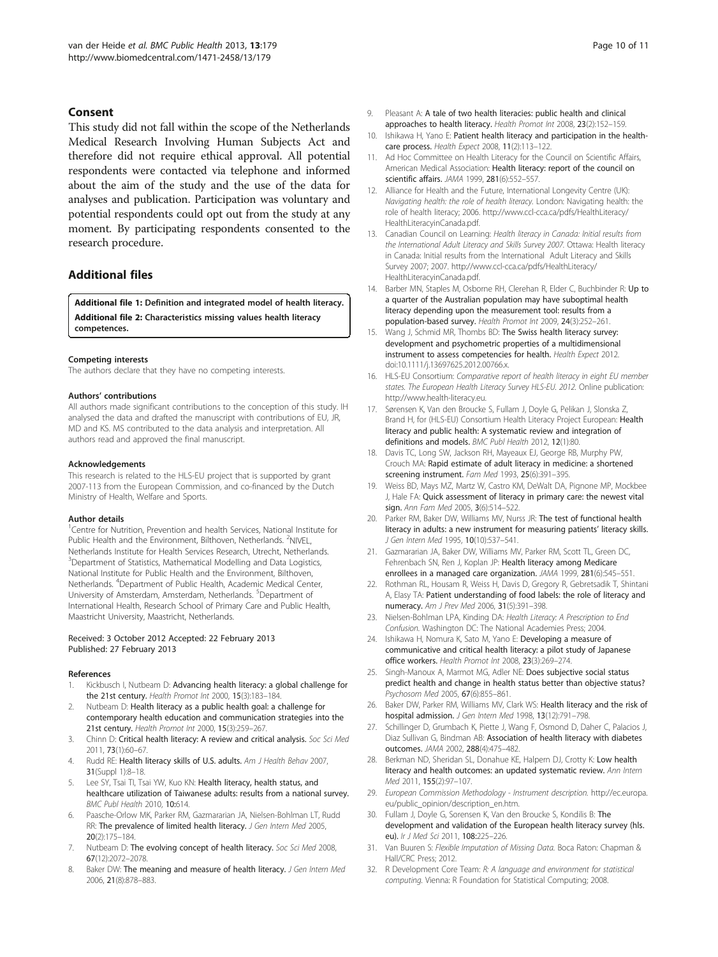#### <span id="page-9-0"></span>Consent

This study did not fall within the scope of the Netherlands Medical Research Involving Human Subjects Act and therefore did not require ethical approval. All potential respondents were contacted via telephone and informed about the aim of the study and the use of the data for analyses and publication. Participation was voluntary and potential respondents could opt out from the study at any moment. By participating respondents consented to the research procedure.

## Additional files

[Additional file 1:](http://www.biomedcentral.com/content/supplementary/1471-2458-13-179-S1.docx) Definition and integrated model of health literacy. [Additional file 2:](http://www.biomedcentral.com/content/supplementary/1471-2458-13-179-S2.docx) Characteristics missing values health literacy competences.

#### Competing interests

The authors declare that they have no competing interests.

#### Authors' contributions

All authors made significant contributions to the conception of this study. IH analysed the data and drafted the manuscript with contributions of EU, JR, MD and KS. MS contributed to the data analysis and interpretation. All authors read and approved the final manuscript.

#### Acknowledgements

This research is related to the HLS-EU project that is supported by grant 2007-113 from the European Commission, and co-financed by the Dutch Ministry of Health, Welfare and Sports.

#### Author details

<sup>1</sup>Centre for Nutrition, Prevention and health Services, National Institute for Public Health and the Environment, Bilthoven, Netherlands. <sup>2</sup>NIVEL, Netherlands Institute for Health Services Research, Utrecht, Netherlands. <sup>3</sup>Department of Statistics, Mathematical Modelling and Data Logistics, National Institute for Public Health and the Environment, Bilthoven, Netherlands. <sup>4</sup>Department of Public Health, Academic Medical Center, University of Amsterdam, Amsterdam, Netherlands. <sup>5</sup>Department of International Health, Research School of Primary Care and Public Health, Maastricht University, Maastricht, Netherlands.

#### Received: 3 October 2012 Accepted: 22 February 2013 Published: 27 February 2013

#### References

- Kickbusch I, Nutbeam D: Advancing health literacy: a global challenge for the 21st century. Health Promot Int 2000, 15(3):183–184.
- Nutbeam D: Health literacy as a public health goal: a challenge for contemporary health education and communication strategies into the 21st century. Health Promot Int 2000, 15(3):259–267.
- 3. Chinn D: Critical health literacy: A review and critical analysis. Soc Sci Med 2011, 73(1):60–67.
- 4. Rudd RE: Health literacy skills of U.S. adults. Am J Health Behav 2007, 31(Suppl 1):8–18.
- 5. Lee SY, Tsai TI, Tsai YW, Kuo KN: Health literacy, health status, and healthcare utilization of Taiwanese adults: results from a national survey. BMC Publ Health 2010, 10:614.
- 6. Paasche-Orlow MK, Parker RM, Gazmararian JA, Nielsen-Bohlman LT, Rudd RR: The prevalence of limited health literacy. J Gen Intern Med 2005, 20(2):175–184.
- Nutbeam D: The evolving concept of health literacy. Soc Sci Med 2008, 67(12):2072–2078.
- 8. Baker DW: The meaning and measure of health literacy. J Gen Intern Med 2006, 21(8):878–883.
- 9. Pleasant A: A tale of two health literacies: public health and clinical approaches to health literacy. Health Promot Int 2008, 23(2):152–159.
- 10. Ishikawa H, Yano E: Patient health literacy and participation in the healthcare process. Health Expect 2008, 11(2):113–122.
- 11. Ad Hoc Committee on Health Literacy for the Council on Scientific Affairs, American Medical Association: Health literacy: report of the council on scientific affairs. JAMA 1999, 281(6):552–557.
- 12. Alliance for Health and the Future, International Longevity Centre (UK): Navigating health: the role of health literacy. London: Navigating health: the role of health literacy; 2006. [http://www.ccl-cca.ca/pdfs/HealthLiteracy/](http://www.ccl-cca.ca/pdfs/HealthLiteracy/HealthLiteracyinCanada.pdf) [HealthLiteracyinCanada.pdf](http://www.ccl-cca.ca/pdfs/HealthLiteracy/HealthLiteracyinCanada.pdf).
- 13. Canadian Council on Learning: Health literacy in Canada: Initial results from the International Adult Literacy and Skills Survey 2007. Ottawa: Health literacy in Canada: Initial results from the International Adult Literacy and Skills Survey 2007; 2007. [http://www.ccl-cca.ca/pdfs/HealthLiteracy/](http://www.ccl-cca.ca/pdfs/HealthLiteracy/HealthLiteracyinCanada.pdf) [HealthLiteracyinCanada.pdf](http://www.ccl-cca.ca/pdfs/HealthLiteracy/HealthLiteracyinCanada.pdf).
- 14. Barber MN, Staples M, Osborne RH, Clerehan R, Elder C, Buchbinder R: Up to a quarter of the Australian population may have suboptimal health literacy depending upon the measurement tool: results from a population-based survey. Health Promot Int 2009, 24(3):252–261.
- 15. Wang J, Schmid MR, Thombs BD: The Swiss health literacy survey: development and psychometric properties of a multidimensional instrument to assess competencies for health. Health Expect 2012. doi[:10.1111/j.13697625.2012.00766.x](http://dx.doi.org/10.1111/j.13697625.2012.00766.x).
- 16. HLS-EU Consortium: Comparative report of health literacy in eight EU member states. The European Health Literacy Survey HLS-EU. 2012. Online publication: [http://www.health-literacy.eu.](http://www.health-literacy.eu)
- 17. Sørensen K, Van den Broucke S, Fullam J, Doyle G, Pelikan J, Slonska Z, Brand H, for (HLS-EU) Consortium Health Literacy Project European: Health literacy and public health: A systematic review and integration of definitions and models. BMC Publ Health 2012, 12(1):80.
- 18. Davis TC, Long SW, Jackson RH, Mayeaux EJ, George RB, Murphy PW, Crouch MA: Rapid estimate of adult literacy in medicine: a shortened screening instrument. Fam Med 1993, 25(6):391–395.
- 19. Weiss BD, Mays MZ, Martz W, Castro KM, DeWalt DA, Pignone MP, Mockbee J, Hale FA: Quick assessment of literacy in primary care: the newest vital sign. Ann Fam Med 2005, 3(6):514-522.
- 20. Parker RM, Baker DW, Williams MV, Nurss JR: The test of functional health literacy in adults: a new instrument for measuring patients' literacy skills. J Gen Intern Med 1995, 10(10):537–541.
- 21. Gazmararian JA, Baker DW, Williams MV, Parker RM, Scott TL, Green DC, Fehrenbach SN, Ren J, Koplan JP: Health literacy among Medicare enrollees in a managed care organization. JAMA 1999, 281(6):545-551.
- 22. Rothman RL, Housam R, Weiss H, Davis D, Gregory R, Gebretsadik T, Shintani A, Elasy TA: Patient understanding of food labels: the role of literacy and numeracy. Am J Prev Med 2006, 31(5):391–398.
- 23. Nielsen-Bohlman LPA, Kinding DA: Health Literacy: A Prescription to End Confusion. Washington DC: The National Academies Press; 2004.
- 24. Ishikawa H, Nomura K, Sato M, Yano E: Developing a measure of communicative and critical health literacy: a pilot study of Japanese office workers. Health Promot Int 2008, 23(3):269–274.
- 25. Singh-Manoux A, Marmot MG, Adler NE: Does subjective social status predict health and change in health status better than objective status? Psychosom Med 2005, 67(6):855–861.
- 26. Baker DW, Parker RM, Williams MV, Clark WS: Health literacy and the risk of hospital admission. J Gen Intern Med 1998, 13(12):791–798.
- 27. Schillinger D, Grumbach K, Piette J, Wang F, Osmond D, Daher C, Palacios J, Diaz Sullivan G, Bindman AB: Association of health literacy with diabetes outcomes. JAMA 2002, 288(4):475–482.
- 28. Berkman ND, Sheridan SL, Donahue KE, Halpern DJ, Crotty K: Low health literacy and health outcomes: an updated systematic review. Ann Intern Med 2011, 155(2):97–107.
- 29. European Commission Methodology Instrument description. [http://ec.europa.](http://ec.europa.eu/public_opinion/description_en.htm) [eu/public\\_opinion/description\\_en.htm](http://ec.europa.eu/public_opinion/description_en.htm).
- 30. Fullam J, Doyle G, Sorensen K, Van den Broucke S, Kondilis B: The development and validation of the European health literacy survey (hls. eu). Ir J Med Sci 2011, 108:225-226.
- 31. Van Buuren S: Flexible Imputation of Missing Data. Boca Raton: Chapman & Hall/CRC Press; 2012.
- 32. R Development Core Team: R: A language and environment for statistical computing. Vienna: R Foundation for Statistical Computing; 2008.